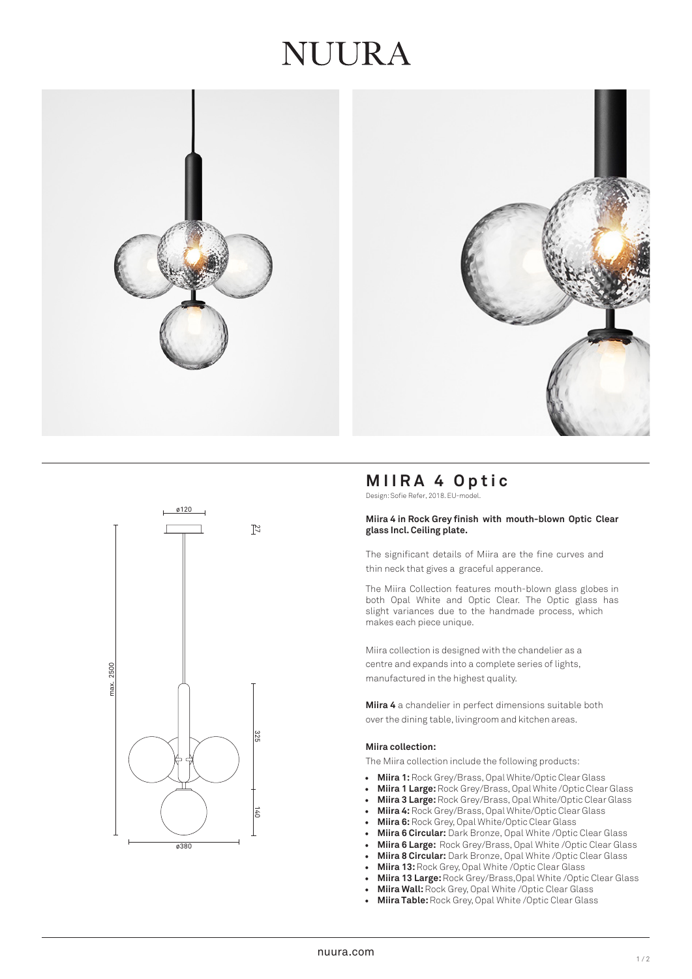## JUURA







## **MIIRA 4 Optic**

Design: Sofie Refer, 2018. EU-model.

#### **Miira 4 in Rock Grey finish with mouth-blown Optic Clear glass Incl. Ceiling plate.**

The significant details of Miira are the fine curves and thin neck that gives a graceful apperance.

The Miira Collection features mouth-blown glass globes in both Opal White and Optic Clear. The Optic glass has slight variances due to the handmade process, which makes each piece unique.

Miira collection is designed with the chandelier as a centre and expands into a complete series of lights, manufactured in the highest quality.

**Miira 4** a chandelier in perfect dimensions suitable both over the dining table, livingroom and kitchen areas.

#### **Miira collection:**

The Miira collection include the following products:

- **Miira 1:** Rock Grey/Brass, Opal White/Optic Clear Glass
- **Miira 1 Large:** Rock Grey/Brass, Opal White /Optic Clear Glass
- **Miira 3 Large:** Rock Grey/Brass, Opal White/Optic Clear Glass
- **Miira 4:** Rock Grey/Brass, Opal White/Optic Clear Glass
- **Miira 6:**Rock Grey, Opal White/Optic Clear Glass
- **Miira 6 Circular:** Dark Bronze, Opal White /Optic Clear Glass
- **Miira 6 Large:** Rock Grey/Brass, Opal White /Optic Clear Glass
- **Miira 8 Circular:** Dark Bronze, Opal White /Optic Clear Glass
- **Miira 13:** Rock Grey, Opal White /Optic Clear Glass
- **Miira 13 Large:** Rock Grey/Brass,Opal White /Optic Clear Glass
- **Miira Wall:**Rock Grey, Opal White /Optic Clear Glass
- **Miira Table:** Rock Grey, Opal White /Optic Clear Glass